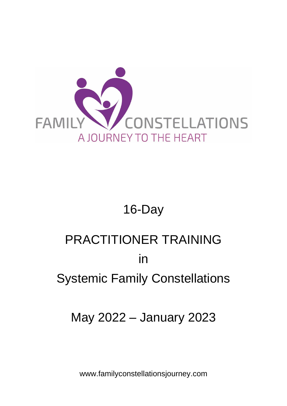

## 16-Day

# PRACTITIONER TRAINING in Systemic Family Constellations

## May 2022 – January 2023

www.familyconstellationsjourney.com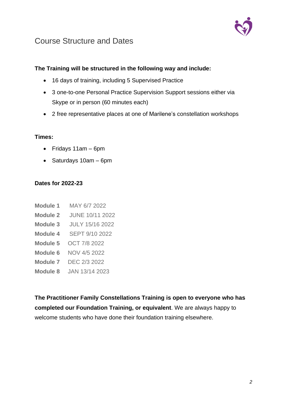

## Course Structure and Dates

## **The Training will be structured in the following way and include:**

- 16 days of training, including 5 Supervised Practice
- 3 one-to-one Personal Practice Supervision Support sessions either via Skype or in person (60 minutes each)
- 2 free representative places at one of Marilene's constellation workshops

#### **Times:**

- Fridays 11am 6pm
- Saturdays 10am 6pm

#### **Dates for 2022-23**

| Module 1 | MAY 6/7 2022           |
|----------|------------------------|
| Module 2 | JUNE 10/11 2022        |
| Module 3 | <b>JULY 15/16 2022</b> |
| Module 4 | SEPT 9/10 2022         |
| Module 5 | OCT 7/8 2022           |
| Module 6 | NOV 4/5 2022           |
| Module 7 | DEC 2/3 2022           |
| Module 8 | JAN 13/14 2023         |

**The Practitioner Family Constellations Training is open to everyone who has completed our Foundation Training, or equivalent**. We are always happy to welcome students who have done their foundation training elsewhere.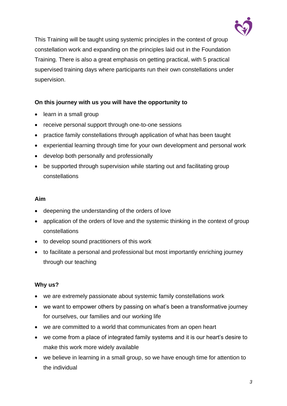

This Training will be taught using systemic principles in the context of group constellation work and expanding on the principles laid out in the Foundation Training. There is also a great emphasis on getting practical, with 5 practical supervised training days where participants run their own constellations under supervision.

#### **On this journey with us you will have the opportunity to**

- learn in a small group
- receive personal support through one-to-one sessions
- practice family constellations through application of what has been taught
- experiential learning through time for your own development and personal work
- develop both personally and professionally
- be supported through supervision while starting out and facilitating group constellations

#### **Aim**

- deepening the understanding of the orders of love
- application of the orders of love and the systemic thinking in the context of group constellations
- to develop sound practitioners of this work
- to facilitate a personal and professional but most importantly enriching journey through our teaching

#### **Why us?**

- we are extremely passionate about systemic family constellations work
- we want to empower others by passing on what's been a transformative journey for ourselves, our families and our working life
- we are committed to a world that communicates from an open heart
- we come from a place of integrated family systems and it is our heart's desire to make this work more widely available
- we believe in learning in a small group, so we have enough time for attention to the individual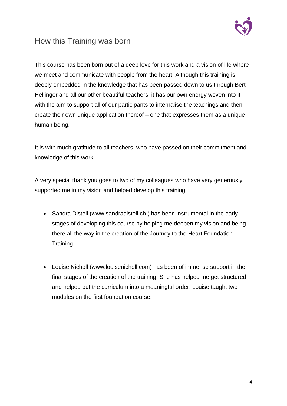

## How this Training was born

This course has been born out of a deep love for this work and a vision of life where we meet and communicate with people from the heart. Although this training is deeply embedded in the knowledge that has been passed down to us through Bert Hellinger and all our other beautiful teachers, it has our own energy woven into it with the aim to support all of our participants to internalise the teachings and then create their own unique application thereof – one that expresses them as a unique human being.

It is with much gratitude to all teachers, who have passed on their commitment and knowledge of this work.

A very special thank you goes to two of my colleagues who have very generously supported me in my vision and helped develop this training.

- Sandra Disteli [\(www.sandradisteli.ch](http://www.sandradisteli.ch/) ) has been instrumental in the early stages of developing this course by helping me deepen my vision and being there all the way in the creation of the Journey to the Heart Foundation Training.
- Louise Nicholl [\(www.louisenicholl.com\)](http://www.louisenicholl.com/) has been of immense support in the final stages of the creation of the training. She has helped me get structured and helped put the curriculum into a meaningful order. Louise taught two modules on the first foundation course.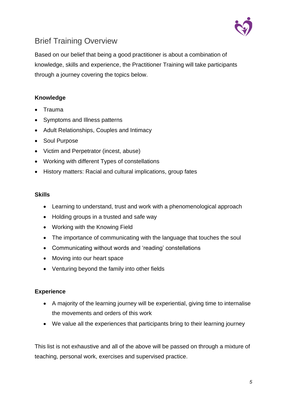

## Brief Training Overview

Based on our belief that being a good practitioner is about a combination of knowledge, skills and experience, the Practitioner Training will take participants through a journey covering the topics below.

## **Knowledge**

- Trauma
- Symptoms and Illness patterns
- Adult Relationships, Couples and Intimacy
- Soul Purpose
- Victim and Perpetrator (incest, abuse)
- Working with different Types of constellations
- History matters: Racial and cultural implications, group fates

#### **Skills**

- Learning to understand, trust and work with a phenomenological approach
- Holding groups in a trusted and safe way
- Working with the Knowing Field
- The importance of communicating with the language that touches the soul
- Communicating without words and 'reading' constellations
- Moving into our heart space
- Venturing beyond the family into other fields

#### **Experience**

- A majority of the learning journey will be experiential, giving time to internalise the movements and orders of this work
- We value all the experiences that participants bring to their learning journey

This list is not exhaustive and all of the above will be passed on through a mixture of teaching, personal work, exercises and supervised practice.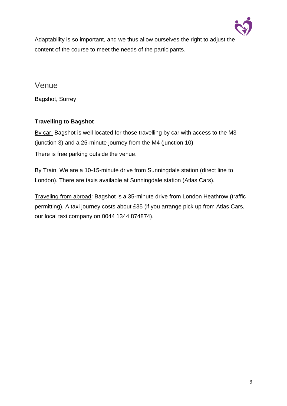

Adaptability is so important, and we thus allow ourselves the right to adjust the content of the course to meet the needs of the participants.

Venue

Bagshot, Surrey

## **Travelling to Bagshot**

By car: Bagshot is well located for those travelling by car with access to the M3 (junction 3) and a 25-minute journey from the M4 (junction 10) There is free parking outside the venue.

By Train: We are a 10-15-minute drive from Sunningdale station (direct line to London). There are taxis available at Sunningdale station (Atlas Cars).

Traveling from abroad: Bagshot is a 35-minute drive from London Heathrow (traffic permitting). A taxi journey costs about £35 (if you arrange pick up from Atlas Cars, our local taxi company on 0044 1344 874874).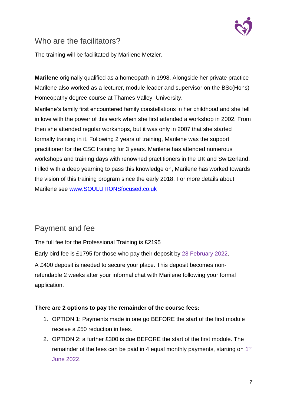

## Who are the facilitators?

The training will be facilitated by Marilene Metzler.

**Marilene** originally qualified as a homeopath in 1998. Alongside her private practice Marilene also worked as a lecturer, module leader and supervisor on the BSc(Hons) Homeopathy degree course at Thames Valley University.

Marilene's family first encountered family constellations in her childhood and she fell in love with the power of this work when she first attended a workshop in 2002. From then she attended regular workshops, but it was only in 2007 that she started formally training in it. Following 2 years of training, Marilene was the support practitioner for the CSC training for 3 years. Marilene has attended numerous workshops and training days with renowned practitioners in the UK and Switzerland. Filled with a deep yearning to pass this knowledge on, Marilene has worked towards the vision of this training program since the early 2018. For more details about Marilene see [www.SOULUTIONSfocused.co.uk](file:///C:/Users/maril/Dropbox/FND%202020-21/www.SOULUTIONSfocused.co.uk)

## Payment and fee

The full fee for the Professional Training is £2195

Early bird fee is £1795 for those who pay their deposit by 28 February 2022.

A £400 deposit is needed to secure your place. This deposit becomes nonrefundable 2 weeks after your informal chat with Marilene following your formal application.

### **There are 2 options to pay the remainder of the course fees:**

- 1. OPTION 1: Payments made in one go BEFORE the start of the first module receive a £50 reduction in fees.
- 2. OPTION 2: a further £300 is due BEFORE the start of the first module. The remainder of the fees can be paid in 4 equal monthly payments, starting on  $1<sup>st</sup>$ June 2022.